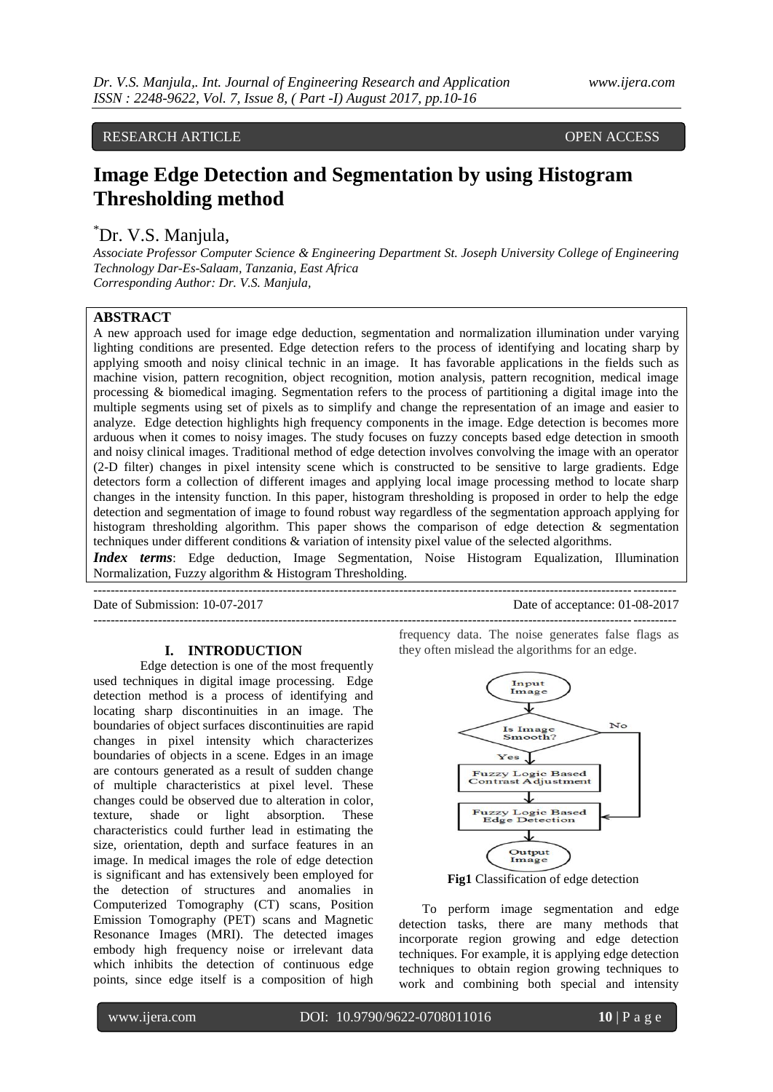RESEARCH ARTICLE **CONTRACT ARTICLE** 

# **Image Edge Detection and Segmentation by using Histogram Thresholding method**

# \*Dr. V.S. Manjula,

*Associate Professor Computer Science & Engineering Department St. Joseph University College of Engineering Technology Dar-Es-Salaam, Tanzania, East Africa Corresponding Author: Dr. V.S. Manjula,*

# **ABSTRACT**

A new approach used for image edge deduction, segmentation and normalization illumination under varying lighting conditions are presented. Edge detection refers to the process of identifying and locating sharp by applying smooth and noisy clinical technic in an image. It has favorable applications in the fields such as machine vision, pattern recognition, object recognition, motion analysis, pattern recognition, medical image processing & biomedical imaging. Segmentation refers to the process of partitioning a digital image into the multiple segments using set of pixels as to simplify and change the representation of an image and easier to analyze. Edge detection highlights high frequency components in the image. Edge detection is becomes more arduous when it comes to noisy images. The study focuses on fuzzy concepts based edge detection in smooth and noisy clinical images. Traditional method of edge detection involves convolving the image with an operator (2-D filter) changes in pixel intensity scene which is constructed to be sensitive to large gradients. Edge detectors form a collection of different images and applying local image processing method to locate sharp changes in the intensity function. In this paper, histogram thresholding is proposed in order to help the edge detection and segmentation of image to found robust way regardless of the segmentation approach applying for histogram thresholding algorithm. This paper shows the comparison of edge detection & segmentation techniques under different conditions & variation of intensity pixel value of the selected algorithms. *Index terms*: Edge deduction, Image Segmentation, Noise Histogram Equalization, Illumination

---------------------------------------------------------------------------------------------------------------------------------------

---------------------------------------------------------------------------------------------------------------------------------------

Normalization, Fuzzy algorithm & Histogram Thresholding.

Date of Submission: 10-07-2017 Date of acceptance: 01-08-2017

#### **I. INTRODUCTION**

Edge detection is one of the most frequently used techniques in digital image processing. Edge detection method is a process of identifying and locating sharp discontinuities in an image. The boundaries of object surfaces discontinuities are rapid changes in pixel intensity which characterizes boundaries of objects in a scene. Edges in an image are contours generated as a result of sudden change of multiple characteristics at pixel level. These changes could be observed due to alteration in color, texture, shade or light absorption. These characteristics could further lead in estimating the size, orientation, depth and surface features in an image. In medical images the role of edge detection is significant and has extensively been employed for the detection of structures and anomalies in Computerized Tomography (CT) scans, Position Emission Tomography (PET) scans and Magnetic Resonance Images (MRI). The detected images embody high frequency noise or irrelevant data which inhibits the detection of continuous edge points, since edge itself is a composition of high

frequency data. The noise generates false flags as they often mislead the algorithms for an edge.



**Fig1** Classification of edge detection

To perform image segmentation and edge detection tasks, there are many methods that incorporate region growing and edge detection techniques. For example, it is applying edge detection techniques to obtain region growing techniques to work and combining both special and intensity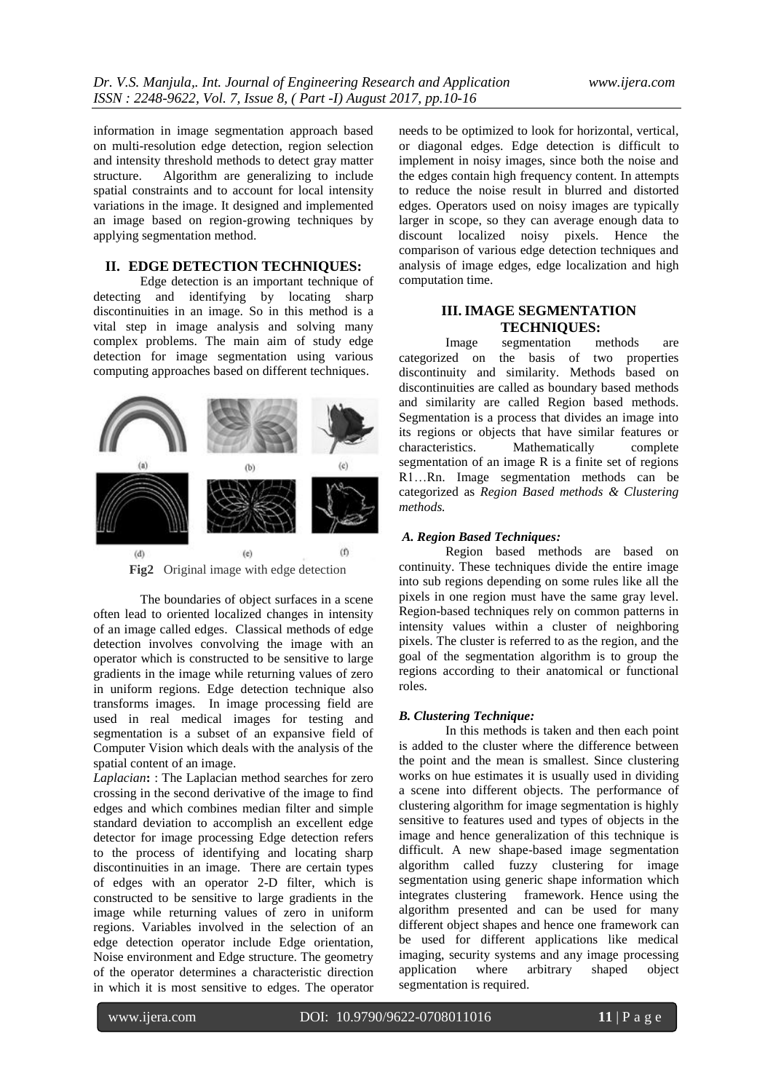information in image segmentation approach based on multi-resolution edge detection, region selection and intensity threshold methods to detect gray matter structure. Algorithm are generalizing to include spatial constraints and to account for local intensity variations in the image. It designed and implemented an image based on region-growing techniques by applying segmentation method.

# **II. EDGE DETECTION TECHNIQUES:**

Edge detection is an important technique of detecting and identifying by locating sharp discontinuities in an image. So in this method is a vital step in image analysis and solving many complex problems. The main aim of study edge detection for image segmentation using various computing approaches based on different techniques.



The boundaries of object surfaces in a scene often lead to oriented localized changes in intensity of an image called edges. Classical methods of edge detection involves convolving the image with an operator which is constructed to be sensitive to large gradients in the image while returning values of zero in uniform regions. Edge detection technique also transforms images. In image processing field are used in real medical images for testing and segmentation is a subset of an expansive field of Computer Vision which deals with the analysis of the spatial content of an image.

*Laplacian***:** : The Laplacian method searches for zero crossing in the second derivative of the image to find edges and which combines median filter and simple standard deviation to accomplish an excellent edge detector for image processing Edge detection refers to the process of identifying and locating sharp discontinuities in an image. There are certain types of edges with an operator 2-D filter, which is constructed to be sensitive to large gradients in the image while returning values of zero in uniform regions. Variables involved in the selection of an edge detection operator include Edge orientation, Noise environment and Edge structure. The geometry of the operator determines a characteristic direction in which it is most sensitive to edges. The operator

needs to be optimized to look for horizontal, vertical, or diagonal edges. Edge detection is difficult to implement in noisy images, since both the noise and the edges contain high frequency content. In attempts to reduce the noise result in blurred and distorted edges. Operators used on noisy images are typically larger in scope, so they can average enough data to discount localized noisy pixels. Hence the comparison of various edge detection techniques and analysis of image edges, edge localization and high computation time.

# **III. IMAGE SEGMENTATION TECHNIQUES:**

Image segmentation methods are categorized on the basis of two properties discontinuity and similarity. Methods based on discontinuities are called as boundary based methods and similarity are called Region based methods. Segmentation is a process that divides an image into its regions or objects that have similar features or characteristics. Mathematically complete segmentation of an image R is a finite set of regions R1…Rn. Image segmentation methods can be categorized as *Region Based methods & Clustering methods.*

## *A. Region Based Techniques:*

Region based methods are based on continuity. These techniques divide the entire image into sub regions depending on some rules like all the pixels in one region must have the same gray level. Region-based techniques rely on common patterns in intensity values within a cluster of neighboring pixels. The cluster is referred to as the region, and the goal of the segmentation algorithm is to group the regions according to their anatomical or functional roles.

#### *B. Clustering Technique:*

In this methods is taken and then each point is added to the cluster where the difference between the point and the mean is smallest. Since clustering works on hue estimates it is usually used in dividing a scene into different objects. The performance of clustering algorithm for image segmentation is highly sensitive to features used and types of objects in the image and hence generalization of this technique is difficult. A new shape-based image segmentation algorithm called fuzzy clustering for image segmentation using generic shape information which integrates clustering framework. Hence using the algorithm presented and can be used for many different object shapes and hence one framework can be used for different applications like medical imaging, security systems and any image processing application where arbitrary shaped object segmentation is required.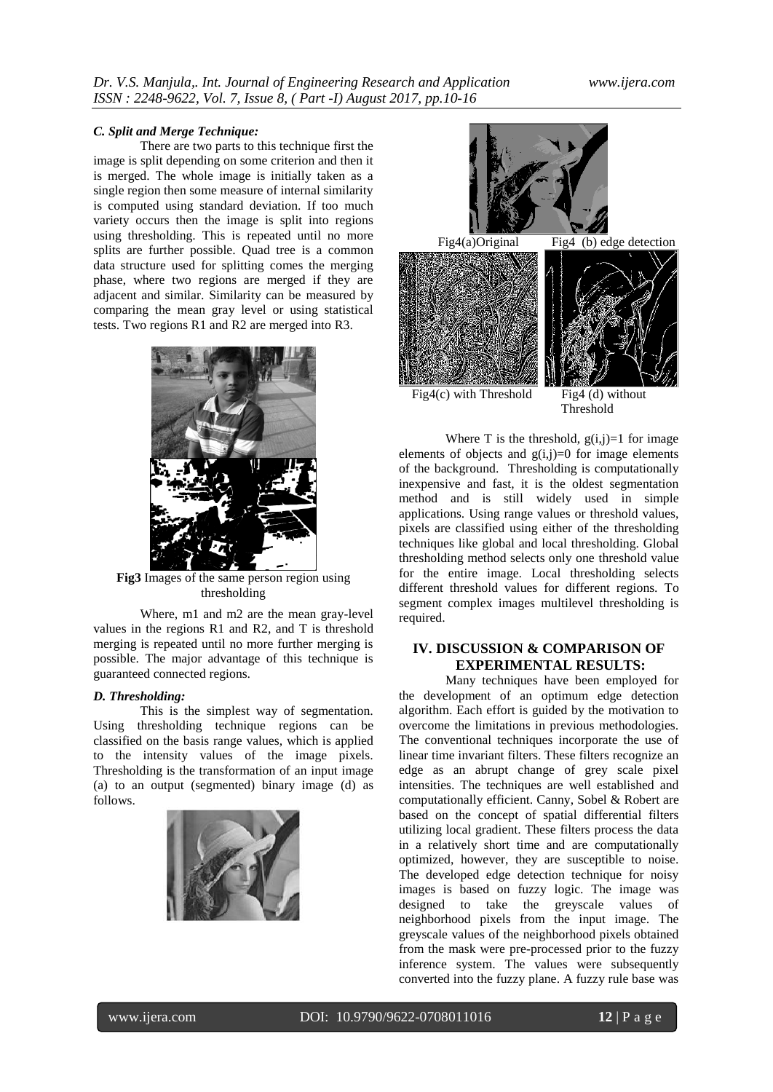#### *C. Split and Merge Technique:*

There are two parts to this technique first the image is split depending on some criterion and then it is merged. The whole image is initially taken as a single region then some measure of internal similarity is computed using standard deviation. If too much variety occurs then the image is split into regions using thresholding. This is repeated until no more splits are further possible. Quad tree is a common data structure used for splitting comes the merging phase, where two regions are merged if they are adjacent and similar. Similarity can be measured by comparing the mean gray level or using statistical tests. Two regions R1 and R2 are merged into R3.



**Fig3** Images of the same person region using thresholding

Where, m1 and m2 are the mean gray-level values in the regions R1 and R2, and T is threshold merging is repeated until no more further merging is possible. The major advantage of this technique is guaranteed connected regions.

#### *D. Thresholding:*

This is the simplest way of segmentation. Using thresholding technique regions can be classified on the basis range values, which is applied to the intensity values of the image pixels. Thresholding is the transformation of an input image (a) to an output (segmented) binary image (d) as follows.





Threshold

Where T is the threshold,  $g(i,j)=1$  for image elements of objects and  $g(i,j)=0$  for image elements of the background. Thresholding is computationally inexpensive and fast, it is the oldest segmentation method and is still widely used in simple applications. Using range values or threshold values, pixels are classified using either of the thresholding techniques like global and local thresholding. Global thresholding method selects only one threshold value for the entire image. Local thresholding selects different threshold values for different regions. To segment complex images multilevel thresholding is required.

# **IV. DISCUSSION & COMPARISON OF EXPERIMENTAL RESULTS:**

Many techniques have been employed for the development of an optimum edge detection algorithm. Each effort is guided by the motivation to overcome the limitations in previous methodologies. The conventional techniques incorporate the use of linear time invariant filters. These filters recognize an edge as an abrupt change of grey scale pixel intensities. The techniques are well established and computationally efficient. Canny, Sobel & Robert are based on the concept of spatial differential filters utilizing local gradient. These filters process the data in a relatively short time and are computationally optimized, however, they are susceptible to noise. The developed edge detection technique for noisy images is based on fuzzy logic. The image was designed to take the greyscale values of neighborhood pixels from the input image. The greyscale values of the neighborhood pixels obtained from the mask were pre-processed prior to the fuzzy inference system. The values were subsequently converted into the fuzzy plane. A fuzzy rule base was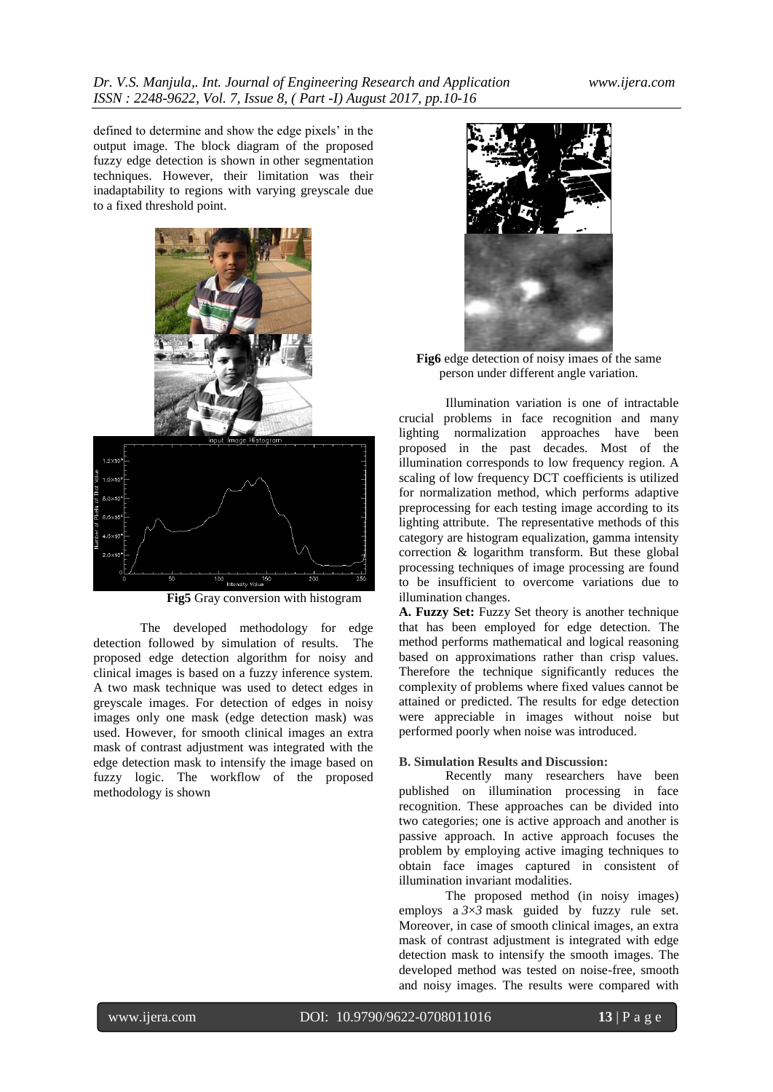defined to determine and show the edge pixels' in the output image. The block diagram of the proposed fuzzy edge detection is shown in other segmentation techniques. However, their limitation was their inadaptability to regions with varying greyscale due to a fixed threshold point.



**Fig5** Gray conversion with histogram

The developed methodology for edge detection followed by simulation of results. The proposed edge detection algorithm for noisy and clinical images is based on a fuzzy inference system. A two mask technique was used to detect edges in greyscale images. For detection of edges in noisy images only one mask (edge detection mask) was used. However, for smooth clinical images an extra mask of contrast adjustment was integrated with the edge detection mask to intensify the image based on fuzzy logic. The workflow of the proposed methodology is shown



**Fig6** edge detection of noisy imaes of the same person under different angle variation.

Illumination variation is one of intractable crucial problems in face recognition and many lighting normalization approaches have been proposed in the past decades. Most of the illumination corresponds to low frequency region. A scaling of low frequency DCT coefficients is utilized for normalization method, which performs adaptive preprocessing for each testing image according to its lighting attribute. The representative methods of this category are histogram equalization, gamma intensity correction & logarithm transform. But these global processing techniques of image processing are found to be insufficient to overcome variations due to illumination changes.

**A. Fuzzy Set:** Fuzzy Set theory is another technique that has been employed for edge detection. The method performs mathematical and logical reasoning based on approximations rather than crisp values. Therefore the technique significantly reduces the complexity of problems where fixed values cannot be attained or predicted. The results for edge detection were appreciable in images without noise but performed poorly when noise was introduced.

#### **B. Simulation Results and Discussion:**

Recently many researchers have been published on illumination processing in face recognition. These approaches can be divided into two categories; one is active approach and another is passive approach. In active approach focuses the problem by employing active imaging techniques to obtain face images captured in consistent of illumination invariant modalities.

The proposed method (in noisy images) employs a *3*×*3* mask guided by fuzzy rule set. Moreover, in case of smooth clinical images, an extra mask of contrast adjustment is integrated with edge detection mask to intensify the smooth images. The developed method was tested on noise-free, smooth and noisy images. The results were compared with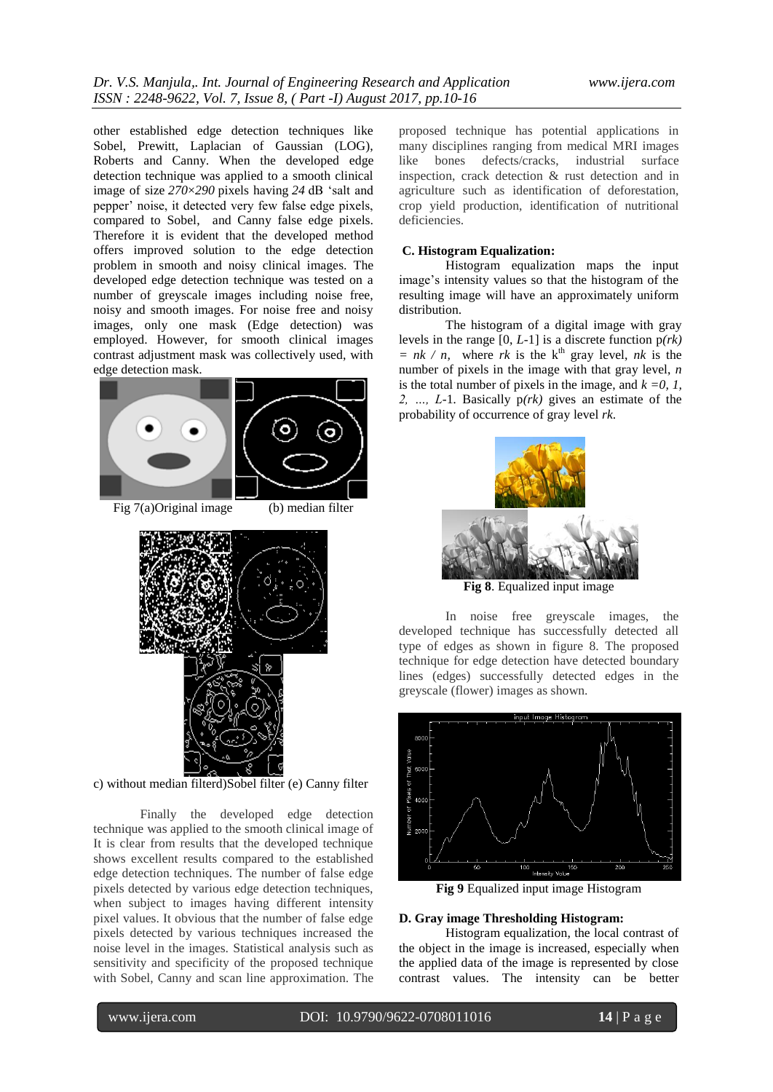other established edge detection techniques like Sobel, Prewitt, Laplacian of Gaussian (LOG), Roberts and Canny. When the developed edge detection technique was applied to a smooth clinical image of size *270*×*290* pixels having *24* dB 'salt and pepper' noise, it detected very few false edge pixels, compared to Sobel, and Canny false edge pixels. Therefore it is evident that the developed method offers improved solution to the edge detection problem in smooth and noisy clinical images. The developed edge detection technique was tested on a number of greyscale images including noise free, noisy and smooth images. For noise free and noisy images, only one mask (Edge detection) was employed. However, for smooth clinical images contrast adjustment mask was collectively used, with edge detection mask.



Fig  $7(a)$ Original image (b) median filter



c) without median filterd)Sobel filter (e) Canny filter

Finally the developed edge detection technique was applied to the smooth clinical image of It is clear from results that the developed technique shows excellent results compared to the established edge detection techniques. The number of false edge pixels detected by various edge detection techniques, when subject to images having different intensity pixel values. It obvious that the number of false edge pixels detected by various techniques increased the noise level in the images. Statistical analysis such as sensitivity and specificity of the proposed technique with Sobel, Canny and scan line approximation. The

proposed technique has potential applications in many disciplines ranging from medical MRI images like bones defects/cracks, industrial surface inspection, crack detection & rust detection and in agriculture such as identification of deforestation, crop yield production, identification of nutritional deficiencies.

#### **C. Histogram Equalization:**

Histogram equalization maps the input image's intensity values so that the histogram of the resulting image will have an approximately uniform distribution.

The histogram of a digital image with gray levels in the range [0, *L-*1] is a discrete function p*(rk)*   $= nk / n$ , where *rk* is the k<sup>th</sup> gray level, *nk* is the number of pixels in the image with that gray level, *n*  is the total number of pixels in the image, and  $k = 0$ , 1, *2, …, L-*1*.* Basically p*(rk)* gives an estimate of the probability of occurrence of gray level *rk*.



**Fig 8**. Equalized input image

In noise free greyscale images, the developed technique has successfully detected all type of edges as shown in figure 8. The proposed technique for edge detection have detected boundary lines (edges) successfully detected edges in the greyscale (flower) images as shown.



**Fig 9** Equalized input image Histogram

### **D. Gray image Thresholding Histogram:**

Histogram equalization, the local contrast of the object in the image is increased, especially when the applied data of the image is represented by close contrast values. The intensity can be better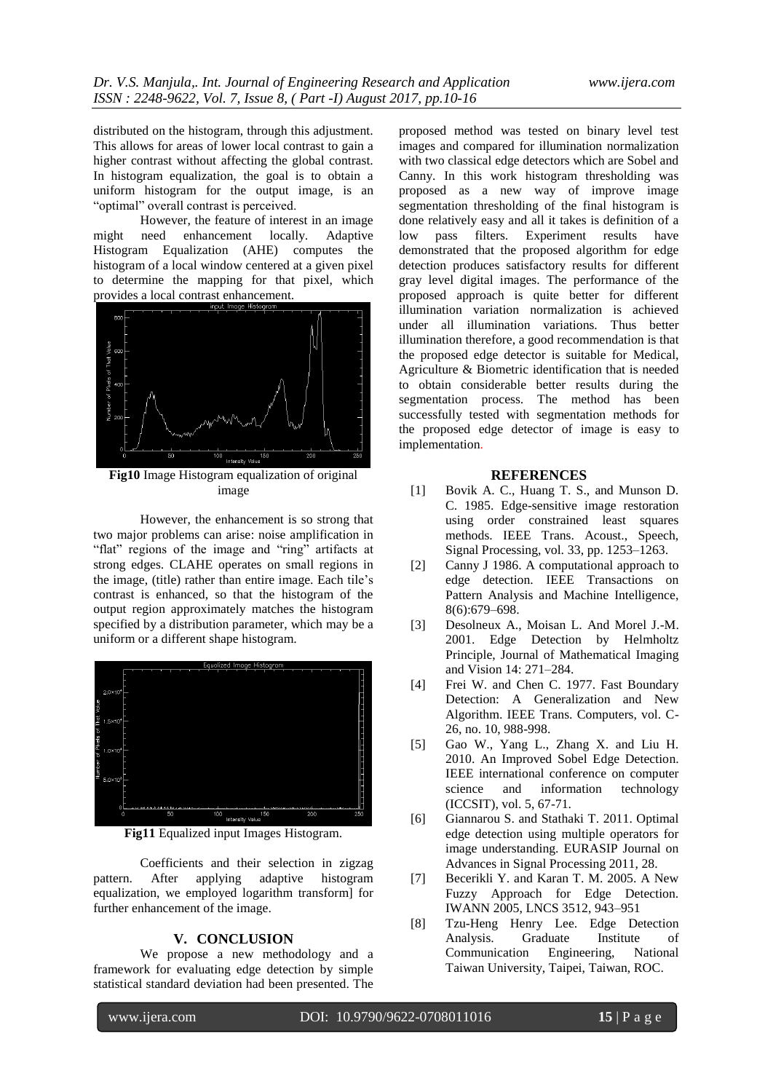distributed on the histogram, through this adjustment. This allows for areas of lower local contrast to gain a higher contrast without affecting the global contrast. In histogram equalization, the goal is to obtain a uniform histogram for the output image, is an "optimal" overall contrast is perceived.

However, the feature of interest in an image might need enhancement locally. Adaptive Histogram Equalization (AHE) computes the histogram of a local window centered at a given pixel to determine the mapping for that pixel, which provides a local contrast enhancement.



**Fig10** Image Histogram equalization of original image

However, the enhancement is so strong that two major problems can arise: noise amplification in "flat" regions of the image and "ring" artifacts at strong edges. CLAHE operates on small regions in the image, (title) rather than entire image. Each tile's contrast is enhanced, so that the histogram of the output region approximately matches the histogram specified by a distribution parameter, which may be a uniform or a different shape histogram.



**Fig11** Equalized input Images Histogram.

Coefficients and their selection in zigzag pattern. After applying adaptive histogram equalization, we employed logarithm transform] for further enhancement of the image.

#### **V. CONCLUSION**

We propose a new methodology and a framework for evaluating edge detection by simple statistical standard deviation had been presented. The

proposed method was tested on binary level test images and compared for illumination normalization with two classical edge detectors which are Sobel and Canny. In this work histogram thresholding was proposed as a new way of improve image segmentation thresholding of the final histogram is done relatively easy and all it takes is definition of a low pass filters. Experiment results have demonstrated that the proposed algorithm for edge detection produces satisfactory results for different gray level digital images. The performance of the proposed approach is quite better for different illumination variation normalization is achieved under all illumination variations. Thus better illumination therefore, a good recommendation is that the proposed edge detector is suitable for Medical, Agriculture & Biometric identification that is needed to obtain considerable better results during the segmentation process. The method has been successfully tested with segmentation methods for the proposed edge detector of image is easy to implementation.

#### **REFERENCES**

- [1] Bovik A. C., Huang T. S., and Munson D. C. 1985. Edge-sensitive image restoration using order constrained least squares methods. IEEE Trans. Acoust., Speech, Signal Processing, vol. 33, pp. 1253–1263.
- [2] Canny J 1986. A computational approach to edge detection. IEEE Transactions on Pattern Analysis and Machine Intelligence, 8(6):679–698.
- [3] Desolneux A., Moisan L. And Morel J.-M. 2001. Edge Detection by Helmholtz Principle, Journal of Mathematical Imaging and Vision 14: 271–284.
- [4] Frei W. and Chen C. 1977. Fast Boundary Detection: A Generalization and New Algorithm. IEEE Trans. Computers, vol. C-26, no. 10, 988-998.
- [5] Gao W., Yang L., Zhang X. and Liu H. 2010. An Improved Sobel Edge Detection. IEEE international conference on computer science and information technology (ICCSIT), vol. 5, 67-71.
- [6] Giannarou S. and Stathaki T. 2011. Optimal edge detection using multiple operators for image understanding. EURASIP Journal on Advances in Signal Processing 2011, 28.
- [7] Becerikli Y. and Karan T. M. 2005. A New Fuzzy Approach for Edge Detection. IWANN 2005, LNCS 3512, 943–951
- [8] Tzu-Heng Henry Lee. Edge Detection Analysis. Graduate Institute of Communication Engineering, National Taiwan University, Taipei, Taiwan, ROC.